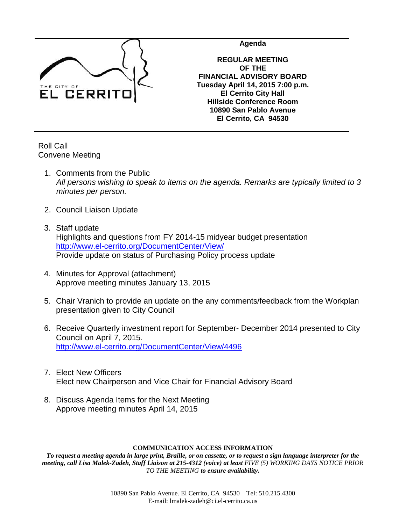

**Agenda**

**REGULAR MEETING OF THE FINANCIAL ADVISORY BOARD Tuesday April 14, 2015 7:00 p.m. El Cerrito City Hall Hillside Conference Room 10890 San Pablo Avenue El Cerrito, CA 94530**

Roll Call Convene Meeting

- 1. Comments from the Public *All persons wishing to speak to items on the agenda. Remarks are typically limited to 3 minutes per person.*
- 2. Council Liaison Update
- 3. Staff update Highlights and questions from FY 2014-15 midyear budget presentation <http://www.el-cerrito.org/DocumentCenter/View/> Provide update on status of Purchasing Policy process update
- 4. Minutes for Approval (attachment) Approve meeting minutes January 13, 2015
- 5. Chair Vranich to provide an update on the any comments/feedback from the Workplan presentation given to City Council
- 6. Receive Quarterly investment report for September- December 2014 presented to City Council on April 7, 2015. <http://www.el-cerrito.org/DocumentCenter/View/4496>
- 7. Elect New Officers Elect new Chairperson and Vice Chair for Financial Advisory Board
- 8. Discuss Agenda Items for the Next Meeting Approve meeting minutes April 14, 2015

## **COMMUNICATION ACCESS INFORMATION**

*To request a meeting agenda in large print, Braille, or on cassette, or to request a sign language interpreter for the meeting, call Lisa Malek-Zadeh, Staff Liaison at 215-4312 (voice) at least FIVE (5) WORKING DAYS NOTICE PRIOR TO THE MEETING to ensure availability.*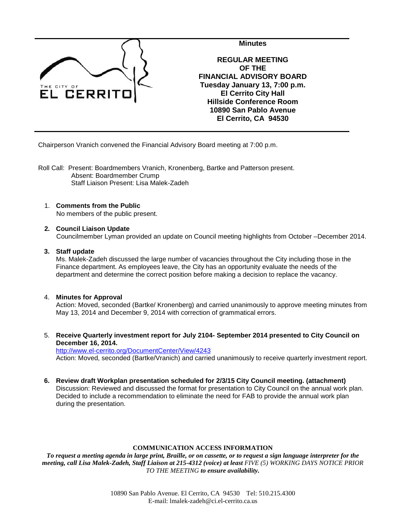

Chairperson Vranich convened the Financial Advisory Board meeting at 7:00 p.m.

- Roll Call: Present: Boardmembers Vranich, Kronenberg, Bartke and Patterson present. Absent: Boardmember Crump Staff Liaison Present: Lisa Malek-Zadeh
	- 1. **Comments from the Public** No members of the public present.
	- **2. Council Liaison Update** Councilmember Lyman provided an update on Council meeting highlights from October –December 2014.

## **3. Staff update**

Ms. Malek-Zadeh discussed the large number of vacancies throughout the City including those in the Finance department. As employees leave, the City has an opportunity evaluate the needs of the department and determine the correct position before making a decision to replace the vacancy.

## 4. **Minutes for Approval**

Action: Moved, seconded (Bartke/ Kronenberg) and carried unanimously to approve meeting minutes from May 13, 2014 and December 9, 2014 with correction of grammatical errors.

5. **Receive Quarterly investment report for July 2104- September 2014 presented to City Council on December 16, 2014.**

<http://www.el-cerrito.org/DocumentCenter/View/4243> Action: Moved, seconded (Bartke/Vranich) and carried unanimously to receive quarterly investment report.

**6. Review draft Workplan presentation scheduled for 2/3/15 City Council meeting. (attachment)**

Discussion: Reviewed and discussed the format for presentation to City Council on the annual work plan. Decided to include a recommendation to eliminate the need for FAB to provide the annual work plan during the presentation.

## **COMMUNICATION ACCESS INFORMATION**

*To request a meeting agenda in large print, Braille, or on cassette, or to request a sign language interpreter for the meeting, call Lisa Malek-Zadeh, Staff Liaison at 215-4312 (voice) at least FIVE (5) WORKING DAYS NOTICE PRIOR TO THE MEETING to ensure availability.*